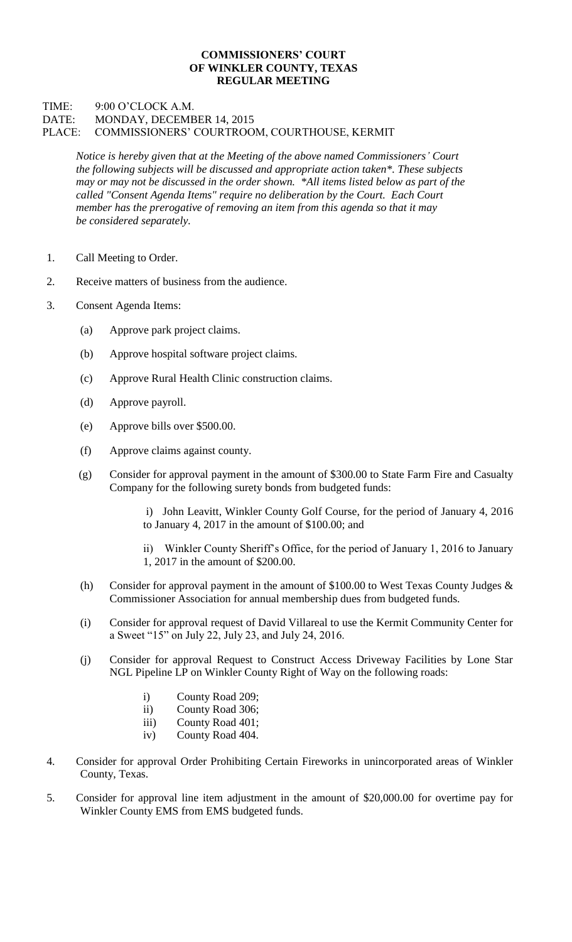## **COMMISSIONERS' COURT OF WINKLER COUNTY, TEXAS REGULAR MEETING**

## TIME: 9:00 O'CLOCK A.M. DATE: MONDAY, DECEMBER 14, 2015 PLACE: COMMISSIONERS' COURTROOM, COURTHOUSE, KERMIT

*Notice is hereby given that at the Meeting of the above named Commissioners' Court the following subjects will be discussed and appropriate action taken\*. These subjects may or may not be discussed in the order shown. \*All items listed below as part of the called "Consent Agenda Items" require no deliberation by the Court. Each Court member has the prerogative of removing an item from this agenda so that it may be considered separately.*

- 1. Call Meeting to Order.
- 2. Receive matters of business from the audience.
- 3. Consent Agenda Items:
	- (a) Approve park project claims.
	- (b) Approve hospital software project claims.
	- (c) Approve Rural Health Clinic construction claims.
	- (d) Approve payroll.
	- (e) Approve bills over \$500.00.
	- (f) Approve claims against county.
	- (g) Consider for approval payment in the amount of \$300.00 to State Farm Fire and Casualty Company for the following surety bonds from budgeted funds:
		- i) John Leavitt, Winkler County Golf Course, for the period of January 4, 2016 to January 4, 2017 in the amount of \$100.00; and
		- ii) Winkler County Sheriff's Office, for the period of January 1, 2016 to January 1, 2017 in the amount of \$200.00.
	- (h) Consider for approval payment in the amount of \$100.00 to West Texas County Judges  $\&$ Commissioner Association for annual membership dues from budgeted funds.
	- (i) Consider for approval request of David Villareal to use the Kermit Community Center for a Sweet "15" on July 22, July 23, and July 24, 2016.
	- (j) Consider for approval Request to Construct Access Driveway Facilities by Lone Star NGL Pipeline LP on Winkler County Right of Way on the following roads:
		- i) County Road 209;
		- ii) County Road 306;
		- iii) County Road 401;
		- iv) County Road 404.
- 4. Consider for approval Order Prohibiting Certain Fireworks in unincorporated areas of Winkler County, Texas.
- 5. Consider for approval line item adjustment in the amount of \$20,000.00 for overtime pay for Winkler County EMS from EMS budgeted funds.